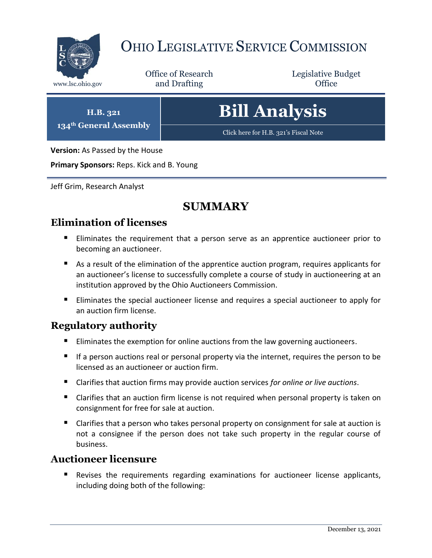

## OHIO LEGISLATIVE SERVICE COMMISSION

Office of Research www.lsc.ohio.gov **and Drafting Office** 

Legislative Budget

**H.B. 321 134th General Assembly**

# **Bill Analysis**

[Click here for H.B. 321](https://www.legislature.ohio.gov/legislation/legislation-documents?id=GA134-HB-321)'s Fiscal Note

**Version:** As Passed by the House

**Primary Sponsors:** Reps. Kick and B. Young

Jeff Grim, Research Analyst

## **SUMMARY**

## **Elimination of licenses**

- Eliminates the requirement that a person serve as an apprentice auctioneer prior to becoming an auctioneer.
- As a result of the elimination of the apprentice auction program, requires applicants for an auctioneer's license to successfully complete a course of study in auctioneering at an institution approved by the Ohio Auctioneers Commission.
- **Eliminates the special auctioneer license and requires a special auctioneer to apply for** an auction firm license.

## **Regulatory authority**

- Eliminates the exemption for online auctions from the law governing auctioneers.
- If a person auctions real or personal property via the internet, requires the person to be licensed as an auctioneer or auction firm.
- Clarifies that auction firms may provide auction services *for online or live auctions*.
- Clarifies that an auction firm license is not required when personal property is taken on consignment for free for sale at auction.
- Clarifies that a person who takes personal property on consignment for sale at auction is not a consignee if the person does not take such property in the regular course of business.

## **Auctioneer licensure**

 Revises the requirements regarding examinations for auctioneer license applicants, including doing both of the following: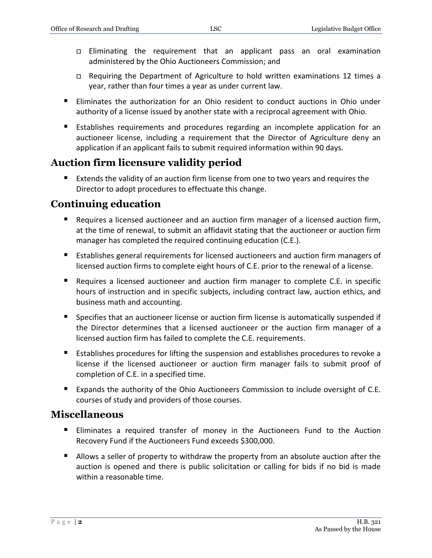- Eliminating the requirement that an applicant pass an oral examination administered by the Ohio Auctioneers Commission; and
- Requiring the Department of Agriculture to hold written examinations 12 times a year, rather than four times a year as under current law.
- Eliminates the authorization for an Ohio resident to conduct auctions in Ohio under authority of a license issued by another state with a reciprocal agreement with Ohio.
- **Establishes requirements and procedures regarding an incomplete application for an** auctioneer license, including a requirement that the Director of Agriculture deny an application if an applicant fails to submit required information within 90 days.

## **Auction firm licensure validity period**

 Extends the validity of an auction firm license from one to two years and requires the Director to adopt procedures to effectuate this change.

## **Continuing education**

- Requires a licensed auctioneer and an auction firm manager of a licensed auction firm, at the time of renewal, to submit an affidavit stating that the auctioneer or auction firm manager has completed the required continuing education (C.E.).
- **Establishes general requirements for licensed auctioneers and auction firm managers of** licensed auction firms to complete eight hours of C.E. prior to the renewal of a license.
- **Requires a licensed auctioneer and auction firm manager to complete C.E. in specific** hours of instruction and in specific subjects, including contract law, auction ethics, and business math and accounting.
- **Specifies that an auctioneer license or auction firm license is automatically suspended if** the Director determines that a licensed auctioneer or the auction firm manager of a licensed auction firm has failed to complete the C.E. requirements.
- Establishes procedures for lifting the suspension and establishes procedures to revoke a license if the licensed auctioneer or auction firm manager fails to submit proof of completion of C.E. in a specified time.
- Expands the authority of the Ohio Auctioneers Commission to include oversight of C.E. courses of study and providers of those courses.

## **Miscellaneous**

- Eliminates a required transfer of money in the Auctioneers Fund to the Auction Recovery Fund if the Auctioneers Fund exceeds \$300,000.
- **Allows a seller of property to withdraw the property from an absolute auction after the** auction is opened and there is public solicitation or calling for bids if no bid is made within a reasonable time.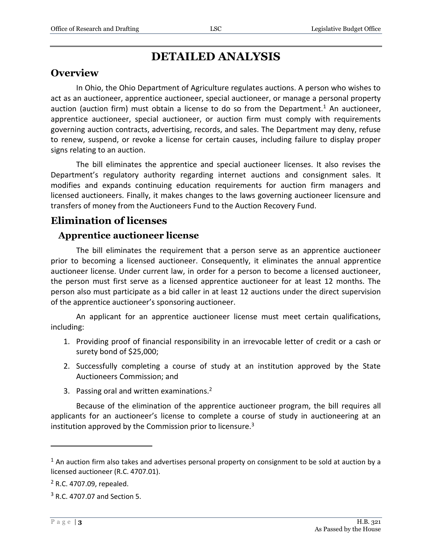## **DETAILED ANALYSIS**

## **Overview**

In Ohio, the Ohio Department of Agriculture regulates auctions. A person who wishes to act as an auctioneer, apprentice auctioneer, special auctioneer, or manage a personal property auction (auction firm) must obtain a license to do so from the Department.<sup>1</sup> An auctioneer, apprentice auctioneer, special auctioneer, or auction firm must comply with requirements governing auction contracts, advertising, records, and sales. The Department may deny, refuse to renew, suspend, or revoke a license for certain causes, including failure to display proper signs relating to an auction.

The bill eliminates the apprentice and special auctioneer licenses. It also revises the Department's regulatory authority regarding internet auctions and consignment sales. It modifies and expands continuing education requirements for auction firm managers and licensed auctioneers. Finally, it makes changes to the laws governing auctioneer licensure and transfers of money from the Auctioneers Fund to the Auction Recovery Fund.

## **Elimination of licenses**

#### **Apprentice auctioneer license**

The bill eliminates the requirement that a person serve as an apprentice auctioneer prior to becoming a licensed auctioneer. Consequently, it eliminates the annual apprentice auctioneer license. Under current law, in order for a person to become a licensed auctioneer, the person must first serve as a licensed apprentice auctioneer for at least 12 months. The person also must participate as a bid caller in at least 12 auctions under the direct supervision of the apprentice auctioneer's sponsoring auctioneer.

An applicant for an apprentice auctioneer license must meet certain qualifications, including:

- 1. Providing proof of financial responsibility in an irrevocable letter of credit or a cash or surety bond of \$25,000;
- 2. Successfully completing a course of study at an institution approved by the State Auctioneers Commission; and
- 3. Passing oral and written examinations.<sup>2</sup>

Because of the elimination of the apprentice auctioneer program, the bill requires all applicants for an auctioneer's license to complete a course of study in auctioneering at an institution approved by the Commission prior to licensure.<sup>3</sup>

 $<sup>1</sup>$  An auction firm also takes and advertises personal property on consignment to be sold at auction by a</sup> licensed auctioneer (R.C. 4707.01).

<sup>2</sup> R.C. 4707.09, repealed.

<sup>3</sup> R.C. 4707.07 and Section 5.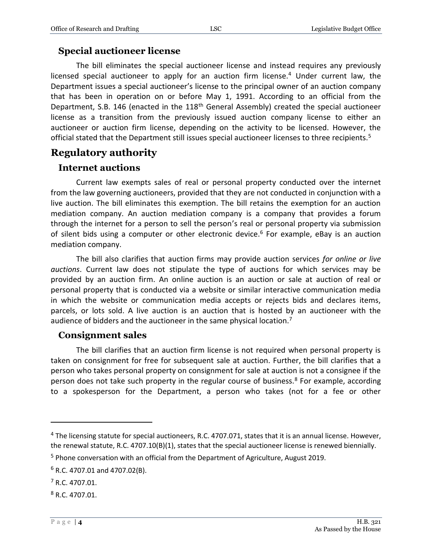#### **Special auctioneer license**

The bill eliminates the special auctioneer license and instead requires any previously licensed special auctioneer to apply for an auction firm license.<sup>4</sup> Under current law, the Department issues a special auctioneer's license to the principal owner of an auction company that has been in operation on or before May 1, 1991. According to an official from the Department, S.B. 146 (enacted in the 118<sup>th</sup> General Assembly) created the special auctioneer license as a transition from the previously issued auction company license to either an auctioneer or auction firm license, depending on the activity to be licensed. However, the official stated that the Department still issues special auctioneer licenses to three recipients.<sup>5</sup>

#### **Regulatory authority**

#### **Internet auctions**

Current law exempts sales of real or personal property conducted over the internet from the law governing auctioneers, provided that they are not conducted in conjunction with a live auction. The bill eliminates this exemption. The bill retains the exemption for an auction mediation company. An auction mediation company is a company that provides a forum through the internet for a person to sell the person's real or personal property via submission of silent bids using a computer or other electronic device.<sup>6</sup> For example, eBay is an auction mediation company.

The bill also clarifies that auction firms may provide auction services *for online or live auctions*. Current law does not stipulate the type of auctions for which services may be provided by an auction firm. An online auction is an auction or sale at auction of real or personal property that is conducted via a website or similar interactive communication media in which the website or communication media accepts or rejects bids and declares items, parcels, or lots sold. A live auction is an auction that is hosted by an auctioneer with the audience of bidders and the auctioneer in the same physical location.<sup>7</sup>

#### **Consignment sales**

The bill clarifies that an auction firm license is not required when personal property is taken on consignment for free for subsequent sale at auction. Further, the bill clarifies that a person who takes personal property on consignment for sale at auction is not a consignee if the person does not take such property in the regular course of business. $8$  For example, according to a spokesperson for the Department, a person who takes (not for a fee or other

<sup>&</sup>lt;sup>4</sup> The licensing statute for special auctioneers, R.C. 4707.071, states that it is an annual license. However, the renewal statute, R.C. 4707.10(B)(1), states that the special auctioneer license is renewed biennially.

<sup>&</sup>lt;sup>5</sup> Phone conversation with an official from the Department of Agriculture, August 2019.

 $6$  R.C. 4707.01 and 4707.02(B).

 $7 R.C. 4707.01.$ 

<sup>8</sup> R.C. 4707.01.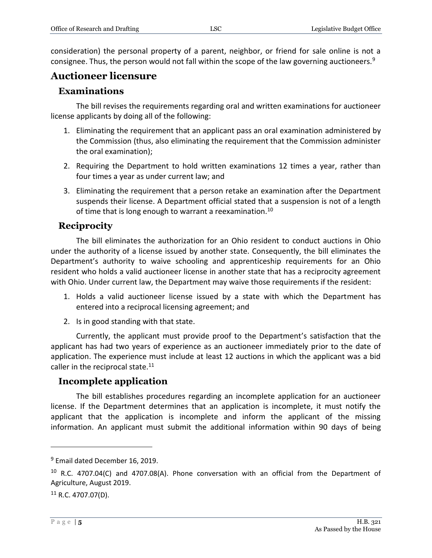consideration) the personal property of a parent, neighbor, or friend for sale online is not a consignee. Thus, the person would not fall within the scope of the law governing auctioneers.<sup>9</sup>

## **Auctioneer licensure**

#### **Examinations**

The bill revises the requirements regarding oral and written examinations for auctioneer license applicants by doing all of the following:

- 1. Eliminating the requirement that an applicant pass an oral examination administered by the Commission (thus, also eliminating the requirement that the Commission administer the oral examination);
- 2. Requiring the Department to hold written examinations 12 times a year, rather than four times a year as under current law; and
- 3. Eliminating the requirement that a person retake an examination after the Department suspends their license. A Department official stated that a suspension is not of a length of time that is long enough to warrant a reexamination.<sup>10</sup>

#### **Reciprocity**

The bill eliminates the authorization for an Ohio resident to conduct auctions in Ohio under the authority of a license issued by another state. Consequently, the bill eliminates the Department's authority to waive schooling and apprenticeship requirements for an Ohio resident who holds a valid auctioneer license in another state that has a reciprocity agreement with Ohio. Under current law, the Department may waive those requirements if the resident:

- 1. Holds a valid auctioneer license issued by a state with which the Department has entered into a reciprocal licensing agreement; and
- 2. Is in good standing with that state.

Currently, the applicant must provide proof to the Department's satisfaction that the applicant has had two years of experience as an auctioneer immediately prior to the date of application. The experience must include at least 12 auctions in which the applicant was a bid caller in the reciprocal state. $11$ 

#### **Incomplete application**

The bill establishes procedures regarding an incomplete application for an auctioneer license. If the Department determines that an application is incomplete, it must notify the applicant that the application is incomplete and inform the applicant of the missing information. An applicant must submit the additional information within 90 days of being

 $9$  Email dated December 16, 2019.

<sup>&</sup>lt;sup>10</sup> R.C. 4707.04(C) and 4707.08(A). Phone conversation with an official from the Department of Agriculture, August 2019.

 $11$  R.C. 4707.07(D).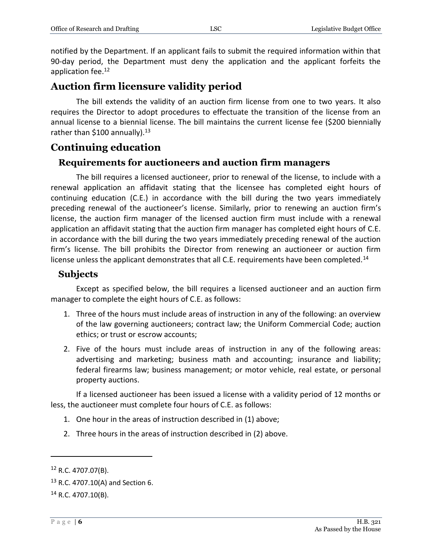notified by the Department. If an applicant fails to submit the required information within that 90-day period, the Department must deny the application and the applicant forfeits the application fee.<sup>12</sup>

## **Auction firm licensure validity period**

The bill extends the validity of an auction firm license from one to two years. It also requires the Director to adopt procedures to effectuate the transition of the license from an annual license to a biennial license. The bill maintains the current license fee (\$200 biennially rather than \$100 annually).<sup>13</sup>

## **Continuing education**

#### **Requirements for auctioneers and auction firm managers**

The bill requires a licensed auctioneer, prior to renewal of the license, to include with a renewal application an affidavit stating that the licensee has completed eight hours of continuing education (C.E.) in accordance with the bill during the two years immediately preceding renewal of the auctioneer's license. Similarly, prior to renewing an auction firm's license, the auction firm manager of the licensed auction firm must include with a renewal application an affidavit stating that the auction firm manager has completed eight hours of C.E. in accordance with the bill during the two years immediately preceding renewal of the auction firm's license. The bill prohibits the Director from renewing an auctioneer or auction firm license unless the applicant demonstrates that all C.E. requirements have been completed.<sup>14</sup>

#### **Subjects**

Except as specified below, the bill requires a licensed auctioneer and an auction firm manager to complete the eight hours of C.E. as follows:

- 1. Three of the hours must include areas of instruction in any of the following: an overview of the law governing auctioneers; contract law; the Uniform Commercial Code; auction ethics; or trust or escrow accounts;
- 2. Five of the hours must include areas of instruction in any of the following areas: advertising and marketing; business math and accounting; insurance and liability; federal firearms law; business management; or motor vehicle, real estate, or personal property auctions.

If a licensed auctioneer has been issued a license with a validity period of 12 months or less, the auctioneer must complete four hours of C.E. as follows:

- 1. One hour in the areas of instruction described in (1) above;
- 2. Three hours in the areas of instruction described in (2) above.

 $12$  R.C. 4707.07(B).

 $13$  R.C. 4707.10(A) and Section 6.

 $14$  R.C. 4707.10(B).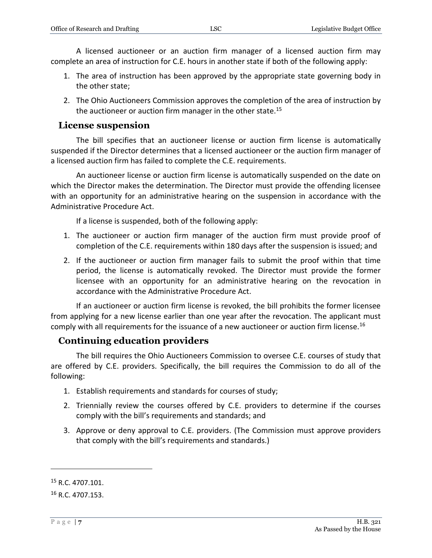A licensed auctioneer or an auction firm manager of a licensed auction firm may complete an area of instruction for C.E. hours in another state if both of the following apply:

- 1. The area of instruction has been approved by the appropriate state governing body in the other state;
- 2. The Ohio Auctioneers Commission approves the completion of the area of instruction by the auctioneer or auction firm manager in the other state.<sup>15</sup>

#### **License suspension**

The bill specifies that an auctioneer license or auction firm license is automatically suspended if the Director determines that a licensed auctioneer or the auction firm manager of a licensed auction firm has failed to complete the C.E. requirements.

An auctioneer license or auction firm license is automatically suspended on the date on which the Director makes the determination. The Director must provide the offending licensee with an opportunity for an administrative hearing on the suspension in accordance with the Administrative Procedure Act.

If a license is suspended, both of the following apply:

- 1. The auctioneer or auction firm manager of the auction firm must provide proof of completion of the C.E. requirements within 180 days after the suspension is issued; and
- 2. If the auctioneer or auction firm manager fails to submit the proof within that time period, the license is automatically revoked. The Director must provide the former licensee with an opportunity for an administrative hearing on the revocation in accordance with the Administrative Procedure Act.

If an auctioneer or auction firm license is revoked, the bill prohibits the former licensee from applying for a new license earlier than one year after the revocation. The applicant must comply with all requirements for the issuance of a new auctioneer or auction firm license.<sup>16</sup>

#### **Continuing education providers**

The bill requires the Ohio Auctioneers Commission to oversee C.E. courses of study that are offered by C.E. providers. Specifically, the bill requires the Commission to do all of the following:

- 1. Establish requirements and standards for courses of study;
- 2. Triennially review the courses offered by C.E. providers to determine if the courses comply with the bill's requirements and standards; and
- 3. Approve or deny approval to C.E. providers. (The Commission must approve providers that comply with the bill's requirements and standards.)

<sup>&</sup>lt;sup>15</sup> R.C. 4707.101.

 $16$  R.C. 4707.153.